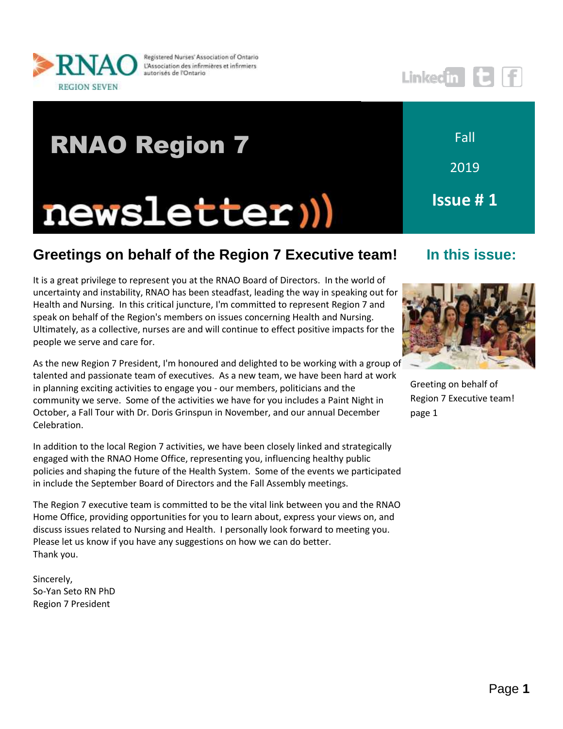

Registered Nurses' Association of Ontario L'Association des infirmières et infirmiers autorisés de l'Ontario

# RNAO Region 7newsletter))

2019 **Issue # 1**

Fall

## **In this issue:**



Greeting on behalf of Region 7 Executive team! page 1

## **Greetings on behalf of the Region 7 Executive team!**

It is a great privilege to represent you at the RNAO Board of Directors. In the world of uncertainty and instability, RNAO has been steadfast, leading the way in speaking out for Health and Nursing. In this critical juncture, I'm committed to represent Region 7 and speak on behalf of the Region's members on issues concerning Health and Nursing. Ultimately, as a collective, nurses are and will continue to effect positive impacts for the people we serve and care for.

As the new Region 7 President, I'm honoured and delighted to be working with a group of talented and passionate team of executives. As a new team, we have been hard at work in planning exciting activities to engage you - our members, politicians and the community we serve. Some of the activities we have for you includes a Paint Night in October, a Fall Tour with Dr. Doris Grinspun in November, and our annual December Celebration.

In addition to the local Region 7 activities, we have been closely linked and strategically engaged with the RNAO Home Office, representing you, influencing healthy public policies and shaping the future of the Health System. Some of the events we participated in include the September Board of Directors and the Fall Assembly meetings.

The Region 7 executive team is committed to be the vital link between you and the RNAO Home Office, providing opportunities for you to learn about, express your views on, and discuss issues related to Nursing and Health. I personally look forward to meeting you. Please let us know if you have any suggestions on how we can do better. Thank you.

Sincerely, So-Yan Seto RN PhD Region 7 President

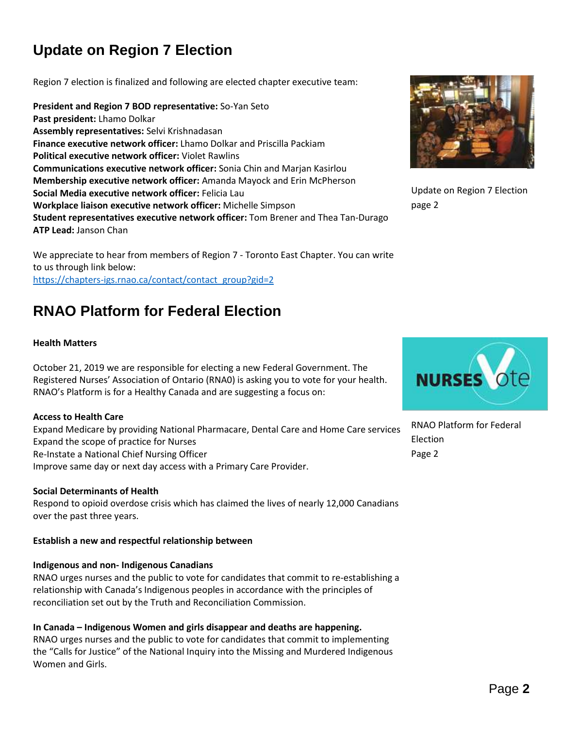## **Update on Region 7 Election**

Region 7 election is finalized and following are elected chapter executive team:

**President and Region 7 BOD representative:** So-Yan Seto **Past president:** Lhamo Dolkar **Assembly representatives:** Selvi Krishnadasan **Finance executive network officer:** Lhamo Dolkar and Priscilla Packiam **Political executive network officer:** Violet Rawlins **Communications executive network officer:** Sonia Chin and Marjan Kasirlou **Membership executive network officer:** Amanda Mayock and Erin McPherson **Social Media executive network officer:** Felicia Lau **Workplace liaison executive network officer:** Michelle Simpson **Student representatives executive network officer:** Tom Brener and Thea Tan-Durago **ATP Lead:** Janson Chan

We appreciate to hear from members of Region 7 - Toronto East Chapter. You can write to us through link below: [https://chapters-igs.rnao.ca/contact/contact\\_group?gid=2](https://chapters-igs.rnao.ca/contact/contact_group?gid=2)

## **RNAO Platform for Federal Election**

#### **Health Matters**

October 21, 2019 we are responsible for electing a new Federal Government. The Registered Nurses' Association of Ontario (RNA0) is asking you to vote for your health. RNAO's Platform is for a Healthy Canada and are suggesting a focus on:

#### **Access to Health Care**

Expand Medicare by providing National Pharmacare, Dental Care and Home Care services Expand the scope of practice for Nurses Re-Instate a National Chief Nursing Officer Improve same day or next day access with a Primary Care Provider.

#### **Social Determinants of Health**

Respond to opioid overdose crisis which has claimed the lives of nearly 12,000 Canadians over the past three years.

#### **Establish a new and respectful relationship between**

#### **Indigenous and non- Indigenous Canadians**

RNAO urges nurses and the public to vote for candidates that commit to re-establishing a relationship with Canada's Indigenous peoples in accordance with the principles of reconciliation set out by the Truth and Reconciliation Commission.

**In Canada – Indigenous Women and girls disappear and deaths are happening.**

RNAO urges nurses and the public to vote for candidates that commit to implementing the "Calls for Justice" of the National Inquiry into the Missing and Murdered Indigenous Women and Girls.



Update on Region 7 Election page 2



RNAO Platform for Federal Election Page 2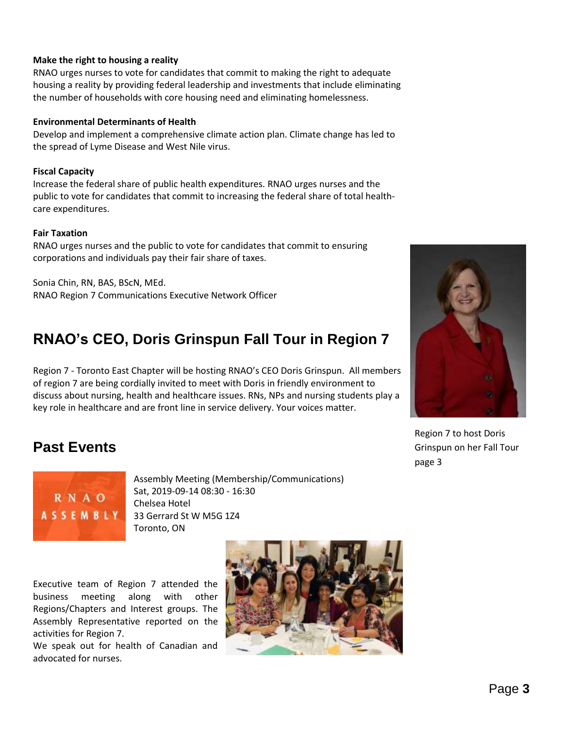### **Make the right to housing a reality**

RNAO urges nurses to vote for candidates that commit to making the right to adequate housing a reality by providing federal leadership and investments that include eliminating the number of households with core housing need and eliminating homelessness.

#### **Environmental Determinants of Health**

Develop and implement a comprehensive climate action plan. Climate change has led to the spread of Lyme Disease and West Nile virus.

#### **Fiscal Capacity**

Increase the federal share of public health expenditures. RNAO urges nurses and the public to vote for candidates that commit to increasing the federal share of total healthcare expenditures.

#### **Fair Taxation**

RNAO urges nurses and the public to vote for candidates that commit to ensuring corporations and individuals pay their fair share of taxes.

Sonia Chin, RN, BAS, BScN, MEd. RNAO Region 7 Communications Executive Network Officer

## **RNAO's CEO, Doris Grinspun Fall Tour in Region 7**

Region 7 - Toronto East Chapter will be hosting RNAO's CEO Doris Grinspun. All members of region 7 are being cordially invited to meet with Doris in friendly environment to discuss about nursing, health and healthcare issues. RNs, NPs and nursing students play a key role in healthcare and are front line in service delivery. Your voices matter.

Region 7 to host Doris Grinspun on her Fall Tour page 3

## **Past Events**



Assembly Meeting (Membership/Communications) Sat, 2019-09-14 08:30 - 16:30 Chelsea Hotel 33 Gerrard St W M5G 1Z4 Toronto, ON

Executive team of Region 7 attended the business meeting along with other Regions/Chapters and Interest groups. The Assembly Representative reported on the activities for Region 7.

We speak out for health of Canadian and advocated for nurses.

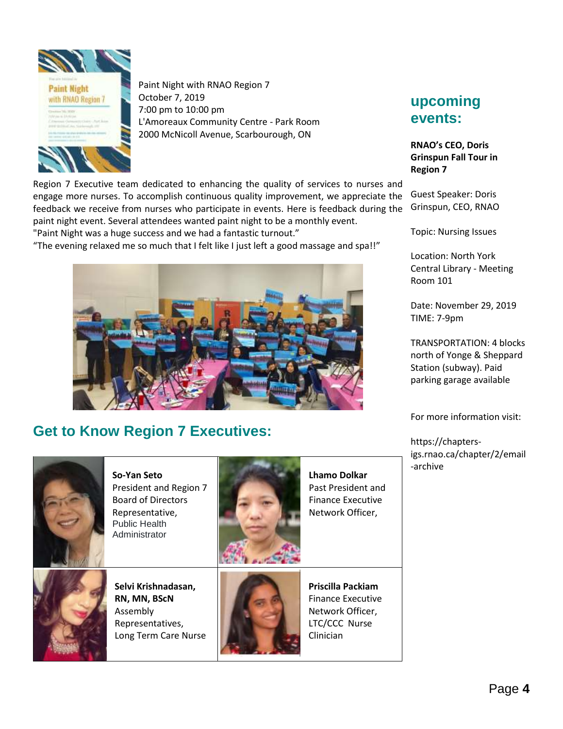

Paint Night with RNAO Region 7 October 7, 2019 7:00 pm to 10:00 pm L'Amoreaux Community Centre - Park Room 2000 McNicoll Avenue, Scarbourough, ON

**upcoming events:**

**RNAO's CEO, Doris Grinspun Fall Tour in Region 7**

Guest Speaker: Doris Grinspun, CEO, RNAO

Topic: Nursing Issues

Location: North York Central Library - Meeting Room 101

Date: November 29, 2019 TIME: [7-9pm](x-apple-data-detectors://2/)

TRANSPORTATION: 4 blocks north of Yonge & Sheppard Station (subway). Paid parking garage available

For more information visit:

https://chaptersigs.rnao.ca/chapter/2/email -archive

Region 7 Executive team dedicated to enhancing the quality of services to nurses and engage more nurses. To accomplish continuous quality improvement, we appreciate the feedback we receive from nurses who participate in events. Here is feedback during the paint night event. Several attendees wanted paint night to be a monthly event. "Paint Night was a huge success and we had a fantastic turnout."

"The evening relaxed me so much that I felt like I just left a good massage and spa!!"



## **Get to Know Region 7 Executives:**



**So-Yan Seto** President and Region 7 Board of Directors Representative, Public Health Administrator



**Lhamo Dolkar**  Past President and Finance Executive Network Officer,



**Selvi Krishnadasan, RN, MN, BScN** Assembly Representatives, Long Term Care Nurse



**Priscilla Packiam** Finance Executive Network Officer, LTC/CCC Nurse Clinician